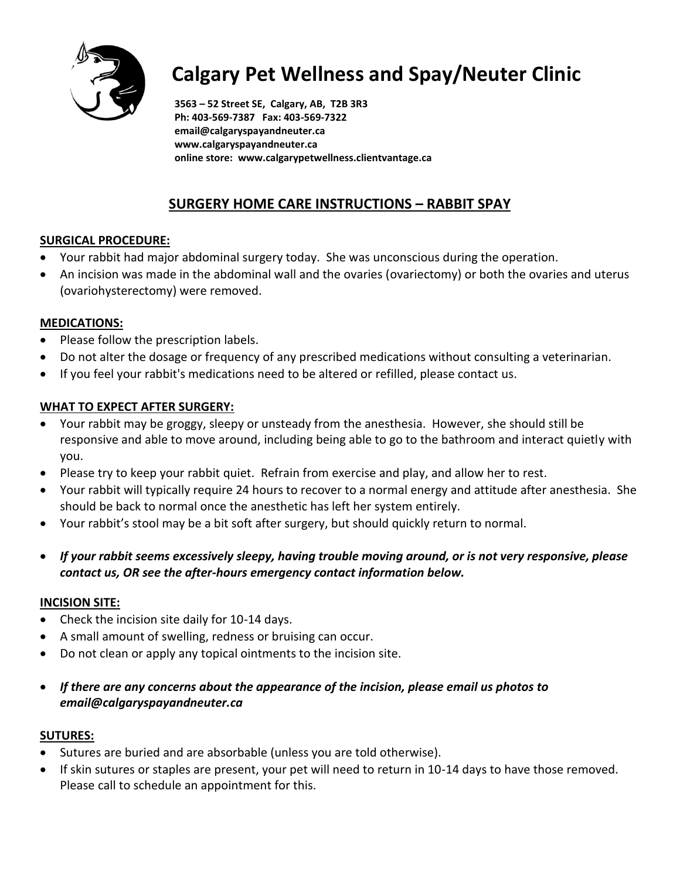

# **Calgary Pet Wellness and Spay/Neuter Clinic**

**3563 – 52 Street SE, Calgary, AB, T2B 3R3 Ph: 403-569-7387 Fax: 403-569-7322 email@calgaryspayandneuter.ca www.calgaryspayandneuter.ca online store: www.calgarypetwellness.clientvantage.ca**

## **SURGERY HOME CARE INSTRUCTIONS – RABBIT SPAY**

## **SURGICAL PROCEDURE:**

- Your rabbit had major abdominal surgery today. She was unconscious during the operation.
- An incision was made in the abdominal wall and the ovaries (ovariectomy) or both the ovaries and uterus (ovariohysterectomy) were removed.

## **MEDICATIONS:**

- Please follow the prescription labels.
- Do not alter the dosage or frequency of any prescribed medications without consulting a veterinarian.
- If you feel your rabbit's medications need to be altered or refilled, please contact us.

## **WHAT TO EXPECT AFTER SURGERY:**

- Your rabbit may be groggy, sleepy or unsteady from the anesthesia. However, she should still be responsive and able to move around, including being able to go to the bathroom and interact quietly with you.
- Please try to keep your rabbit quiet. Refrain from exercise and play, and allow her to rest.
- Your rabbit will typically require 24 hours to recover to a normal energy and attitude after anesthesia. She should be back to normal once the anesthetic has left her system entirely.
- Your rabbit's stool may be a bit soft after surgery, but should quickly return to normal.
- *If your rabbit seems excessively sleepy, having trouble moving around, or is not very responsive, please contact us, OR see the after-hours emergency contact information below.*

#### **INCISION SITE:**

- Check the incision site daily for 10-14 days.
- A small amount of swelling, redness or bruising can occur.
- Do not clean or apply any topical ointments to the incision site.
- *If there are any concerns about the appearance of the incision, please email us photos to email@calgaryspayandneuter.ca*

#### **SUTURES:**

- Sutures are buried and are absorbable (unless you are told otherwise).
- If skin sutures or staples are present, your pet will need to return in 10-14 days to have those removed. Please call to schedule an appointment for this.